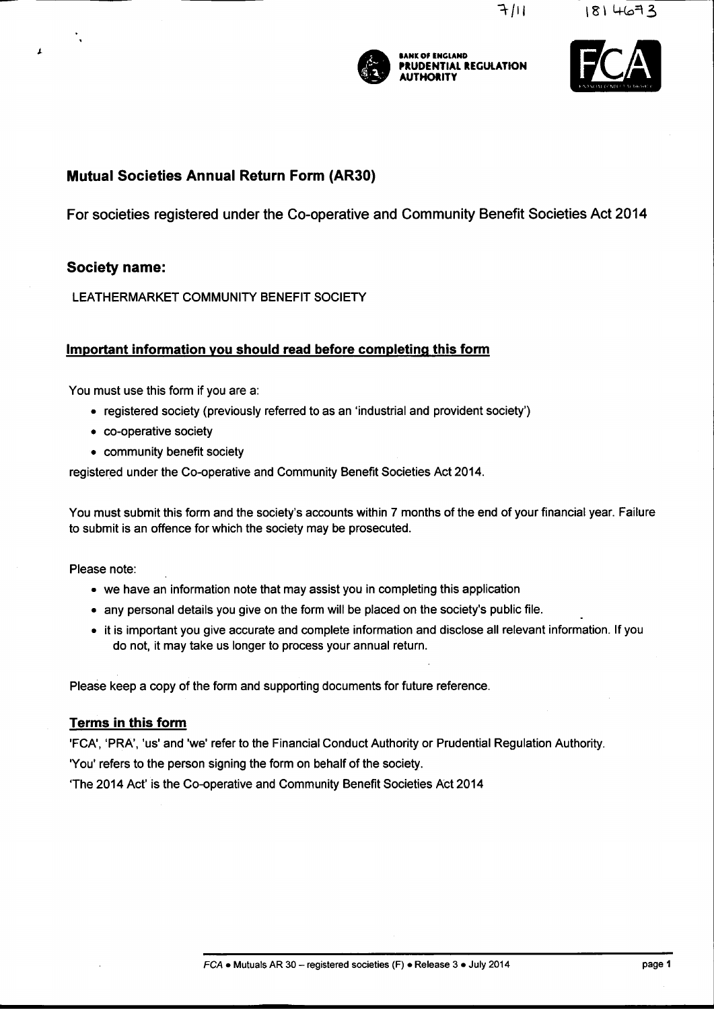

**lANK OF** ENGLAND **PRUDENTIAL REGULATION AUTHORITY** 



# **Mutual Societies Annual Return Form (AR30)**

**For societies registered under the Co-operative and Community Benefit Societies Act 2014** 

# **Society name:**

LEATHERMARKET COMMUNITY BENEFIT SOCIETY

# **Important information you should read before completing this form**

You must use this form if you are a:

- registered society (previously referred to as an 'industrial and provident society')
- co-operative society
- community benefit society

registered under the Co-operative and Community Benefit Societies Act 2014.

You must submit this form and the society's accounts within 7 months of the end of your financial year. Failure to submit is an offence for which the society may be prosecuted.

Please note:

- we have an information note that may assist you in completing this application
- any personal details you give on the form will be placed on the society's public file.
- it is important you give accurate and complete information and disclose all relevant information. If you do not, it may take us longer to process your annual return.

Please keep a copy of the form and supporting documents for future reference.

# **Terms in this form**

'FCA', 'PRA', 'us' and 'we' refer to the Financial Conduct Authority or Prudential Regulation Authority. 'You' refers to the person signing the form on behalf of the society.

'The 2014 Act' is the Co-operative and Community Benefit Societies Act 2014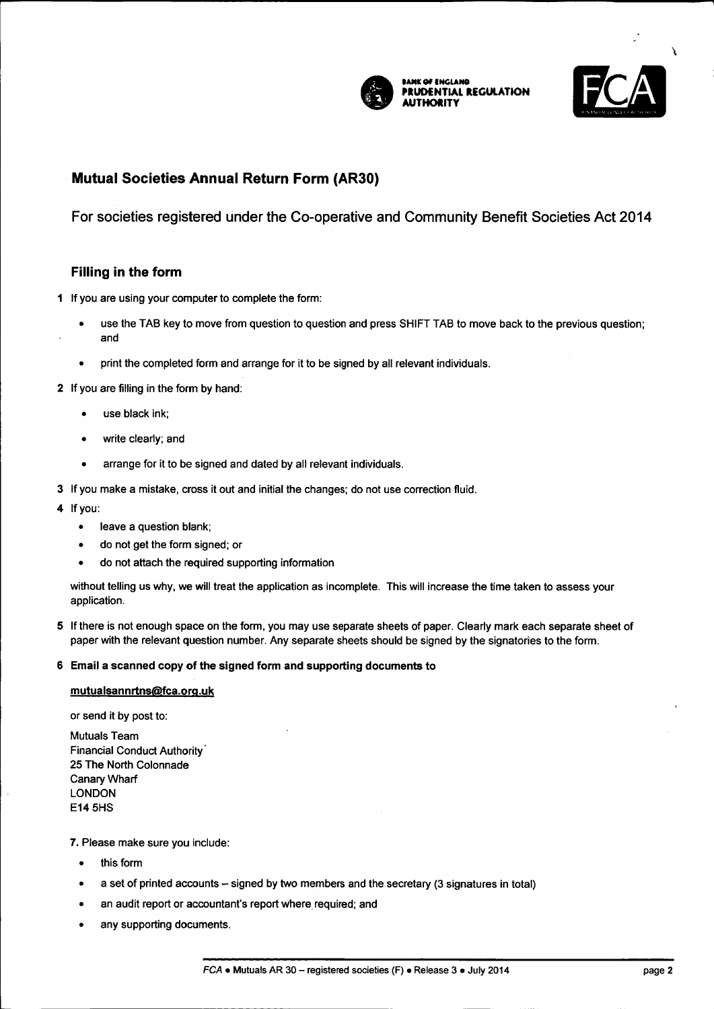

BANK OF ENGLAND<br>PRUDENTIAL R<br>AUTHORITY **PRUDENTIAL REGULATION AUTHORITY** 



 $\lambda$ 

# **Mutual Societies Annual Return Form (AR30)**

For societies registered under the Co-operative and Community Benefit Societies Act 2014

# **Filling in the form**

- I If you are using your computer to complete the form:
	- use the TAB key to move from question to question and press SHIFT TAB to move back to the previous question; and
		- print the completed form and arrange for it to be signed by all relevant individuals.

2 If you are filling in the form by hand:

- use black ink;
- write clearly; and
- arrange for it to be signed and dated by all relevant individuals.
- 3 If you make a mistake, cross it out and initial the changes; do not use correction fluid.
- 4 If you:
	- leave a question blank;
	- do not get the form signed; or
	- do not attach the required supporting information

without telling us why, we will treat the application as incomplete. This will increase the time taken to assess your application.

5 If there is not enough space on the form, you may use separate sheets of paper. Clearly mark each separate sheet of paper with the relevant question number. Any separate sheets should be signed by the signatories to the form.

### 6 Email a scanned copy of the signed form and supporting documents to

### mutualsannrtns@fca.org.uk

or send it by post to:

Mutuals Team Financial Conduct Authority 25 The North Colonnade Canary Wharf LONDON **E14 5HS** 

7. Please make sure you include:

- this form
- a set of printed accounts signed by two members and the secretary (3 signatures in total)
- an audit report or accountant's report where required; and
- any supporting documents.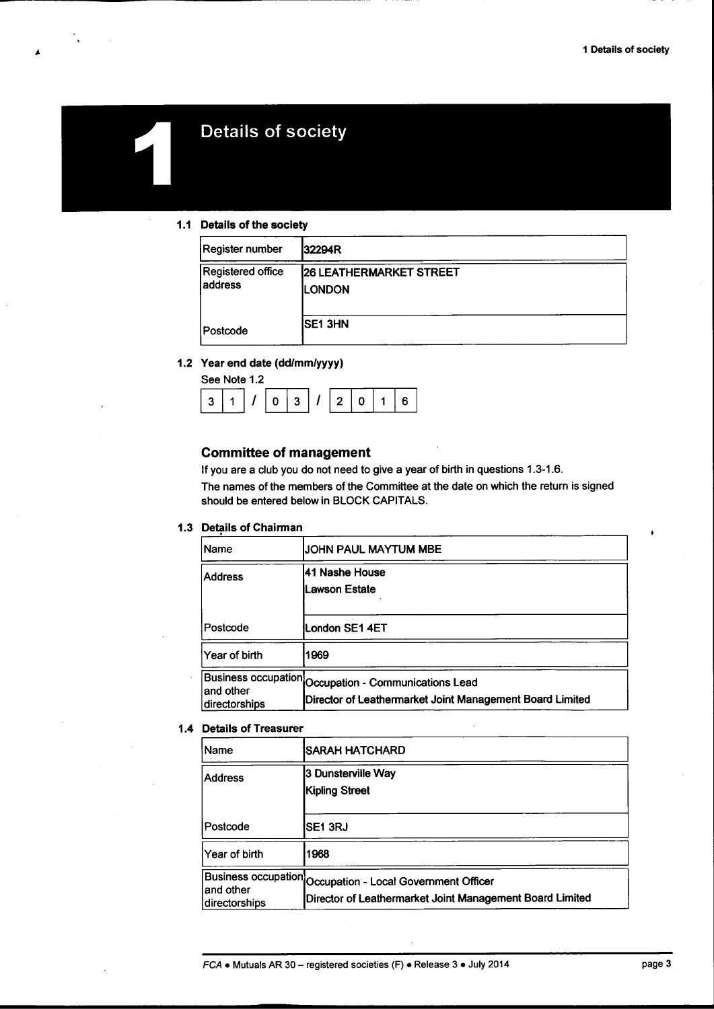

# **Details of society**

#### 1.1 Details of the society

| Register number                      | l32294R                                           |
|--------------------------------------|---------------------------------------------------|
| <b>Registered office</b><br>laddress | <b>126 LEATHERMARKET STREET</b><br><b>ILONDON</b> |
| <b>IPostcode</b>                     | <b>ISE1 3HN</b>                                   |

# 1.2 Year end date (ddlmmlyyyy)

| See Note 1.2 |  |  |  |   |  |   |  |   |  |
|--------------|--|--|--|---|--|---|--|---|--|
|              |  |  |  | 3 |  | ົ |  | 1 |  |

# **Committee of management**

If you are a club you do not need to give a year of birth in questions 1.3-1.6. The names of the members of the Committee at the date on which the return is signed should be entered below in BLOCK CAPITALS.

### 1.3 Details of Chairman

| Name                       | IJOHN PAUL MAYTUM MBE                                                                                            |
|----------------------------|------------------------------------------------------------------------------------------------------------------|
| Address                    | l41 Nashe House<br>Lawson Estate                                                                                 |
| Postcode                   | London SE1 4ET                                                                                                   |
| Year of birth              | 1969                                                                                                             |
| and other<br>directorships | Business occupation Occupation - Communications Lead<br>Director of Leathermarket Joint Management Board Limited |

### 1.4 Details of Treasurer

| <b>Name</b>                | ISARAH HATCHARD                                                                                                       |
|----------------------------|-----------------------------------------------------------------------------------------------------------------------|
| <b>Address</b>             | 3 Dunsterville Way<br>Kipling Street                                                                                  |
| Postcode                   | ISE1 3RJ                                                                                                              |
| Year of birth              | 1968                                                                                                                  |
| and other<br>directorships | Business occupation Occupation - Local Government Officer<br>Director of Leathermarket Joint Management Board Limited |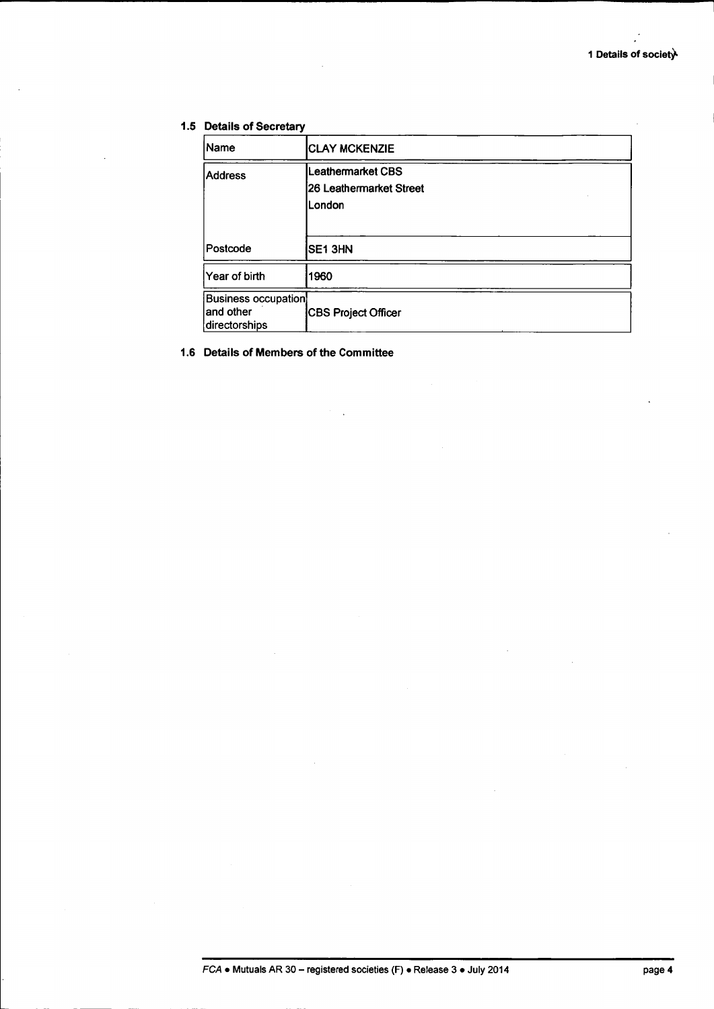# 1.5 Details of Secretary

| <b>Name</b>                                              | <b>CLAY MCKENZIE</b>              |  |
|----------------------------------------------------------|-----------------------------------|--|
| <b>Address</b>                                           | Leathermarket CBS                 |  |
|                                                          | 26 Leathermarket Street<br>London |  |
| Postcode                                                 | ISE1 3HN                          |  |
| Year of birth                                            | 1960                              |  |
| <b>Business occupation</b><br>and other<br>directorships | <b>CBS Project Officer</b>        |  |

1.6 Details of Members of the Committee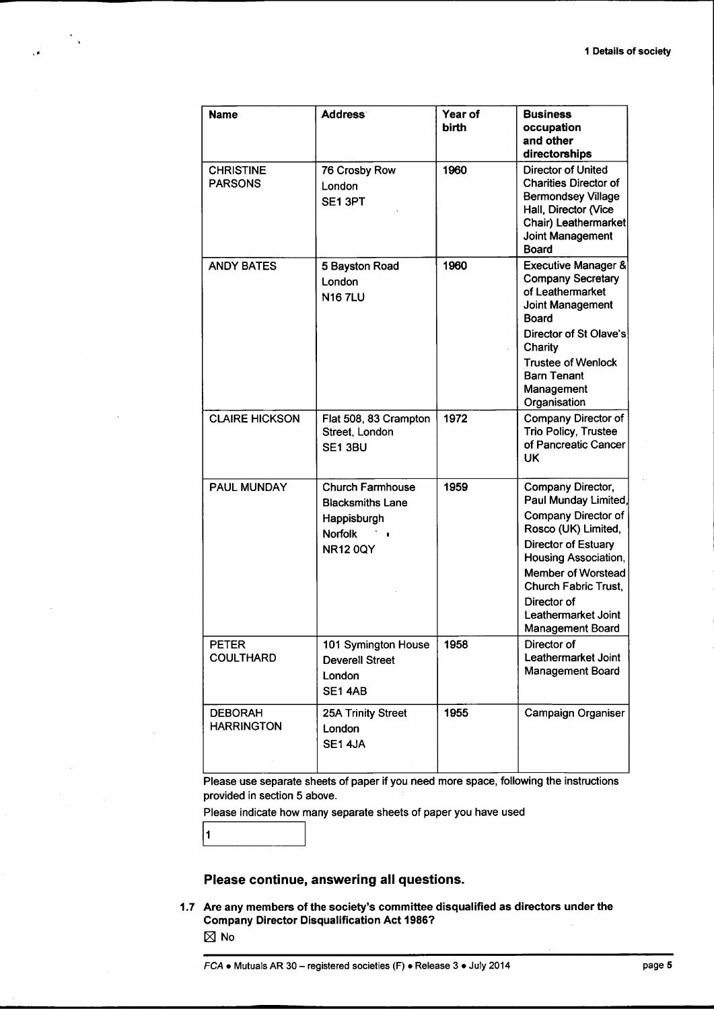| <b>Name</b>                         | <b>Address</b>                                                                                         | Year of<br>birth | <b>Business</b><br>occupation<br>and other<br>directorships                                                                                                                                                                                                         |
|-------------------------------------|--------------------------------------------------------------------------------------------------------|------------------|---------------------------------------------------------------------------------------------------------------------------------------------------------------------------------------------------------------------------------------------------------------------|
| <b>CHRISTINE</b><br><b>PARSONS</b>  | 76 Crosby Row<br>London<br>SE1 3PT                                                                     | 1960             | <b>Director of United</b><br><b>Charities Director of</b><br><b>Bermondsey Village</b><br>Hall, Director (Vice<br>Chair) Leathermarket<br>Joint Management<br>Board                                                                                                 |
| <b>ANDY BATES</b>                   | 5 Bayston Road<br>London<br><b>N167LU</b>                                                              | 1960             | Executive Manager &<br><b>Company Secretary</b><br>of Leathermarket<br>Joint Management<br>Board<br>Director of St Olave's<br>Charity<br><b>Trustee of Wenlock</b><br><b>Barn Tenant</b><br>Management<br>Organisation                                              |
| <b>CLAIRE HICKSON</b>               | Flat 508, 83 Crampton<br>Street, London<br>SE1 3BU                                                     | 1972             | Company Director of<br><b>Trio Policy, Trustee</b><br>of Pancreatic Cancer<br><b>UK</b>                                                                                                                                                                             |
| PAUL MUNDAY                         | <b>Church Farmhouse</b><br><b>Blacksmiths Lane</b><br>Happisburgh<br><b>Norfolk</b><br><b>NR12 0QY</b> | 1959             | Company Director,<br>Paul Munday Limited,<br>Company Director of<br>Rosco (UK) Limited,<br>Director of Estuary<br>Housing Association,<br><b>Member of Worstead</b><br><b>Church Fabric Trust.</b><br>Director of<br>Leathermarket Joint<br><b>Management Board</b> |
| <b>PETER</b><br><b>COULTHARD</b>    | 101 Symington House<br><b>Deverell Street</b><br>London<br>SE14AB                                      | 1958             | Director of<br>Leathermarket Joint<br>Management Board                                                                                                                                                                                                              |
| <b>DEBORAH</b><br><b>HARRINGTON</b> | <b>25A Trinity Street</b><br>London<br>SE1 4JA                                                         | 1955             | Campaign Organiser                                                                                                                                                                                                                                                  |

Please use separate sheets of paper if you need more space, following the instructions provided in section 5 above.

Please indicate how many separate sheets of paper you have used

1

 $\frac{1}{\sqrt{2}}\sum_{i=1}^{n} \frac{1}{\sqrt{2}}\sum_{j=1}^{n} \frac{1}{j} \sum_{j=1}^{n} \frac{1}{j} \sum_{j=1}^{n} \frac{1}{j} \sum_{j=1}^{n} \frac{1}{j} \sum_{j=1}^{n} \frac{1}{j} \sum_{j=1}^{n} \frac{1}{j} \sum_{j=1}^{n} \frac{1}{j} \sum_{j=1}^{n} \frac{1}{j} \sum_{j=1}^{n} \frac{1}{j} \sum_{j=1}^{n} \frac{1}{j} \sum_{j=1}^{n} \frac{1}{j} \sum_{$ 

العر

# **Please continue, answering all questions.**

**1.7** Are any members of the society's committee disqualified as directors under the Company Director Disqualification Act 1986? **Z** No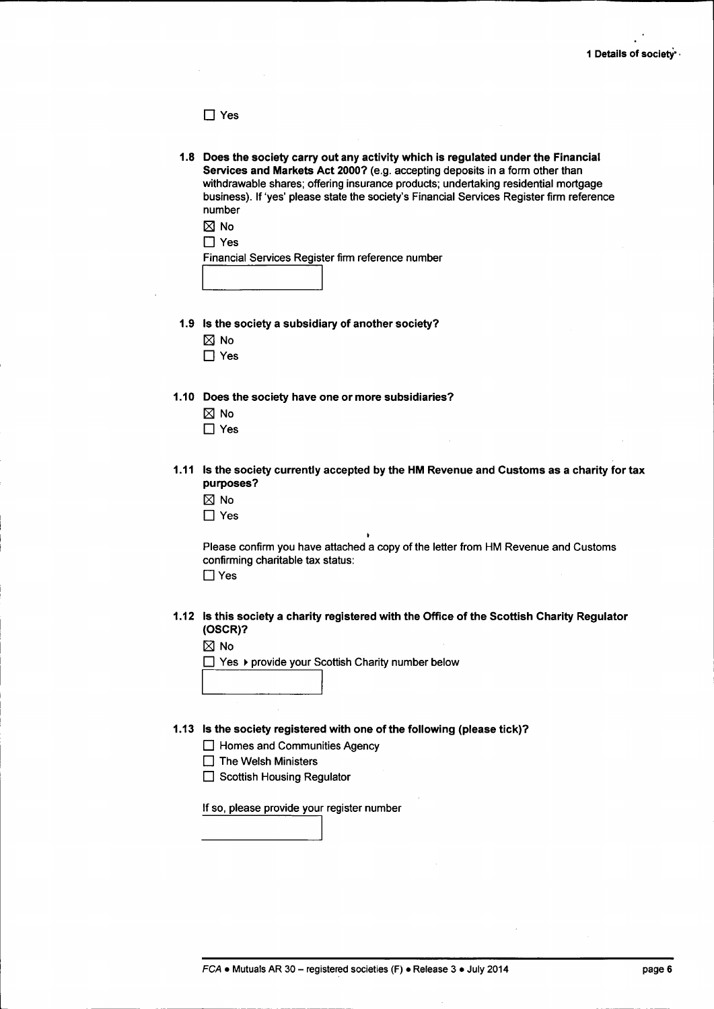# $\Box$  Yes

1.8 Does the society carry out any activity which is regulated under the Financial Services and Markets Act 2000? (e.g. accepting deposits in a form other than withdrawable shares; offering insurance products; undertaking residential mortgage business), If 'yes' please state the society's Financial Services Register firm reference number

□ Yes

Financial Services Register firm reference number

- 1.9 Is the society a subsidiary of another society?
	- **ED** No
	- $\Box$  Yes

#### 1.10 Does the society have one or more subsidiaries?

- ⊠ No
- $\Box$  Yes
- 1.11 Is the society currently accepted by the HM Revenue and Customs as a charity for tax purposes?
	- **ED** No

□ Yes

Please confirm you have attached a copy of the letter from HM Revenue and Customs confirming charitable tax status:

 $\Box$  Yes

# 1.12 Is this society a charity registered with the Office of the Scottish Charity Regulator (OSCR)?

 $\boxtimes$  No

 $\Box$  Yes  $\rightarrow$  provide your Scottish Charity number below

1.13 Is the society registered with one of the following (please tick)?

 $\Box$  Homes and Communities Agency

 $\Box$  The Welsh Ministers

 $\Box$  Scottish Housing Regulator

If so, please provide your register number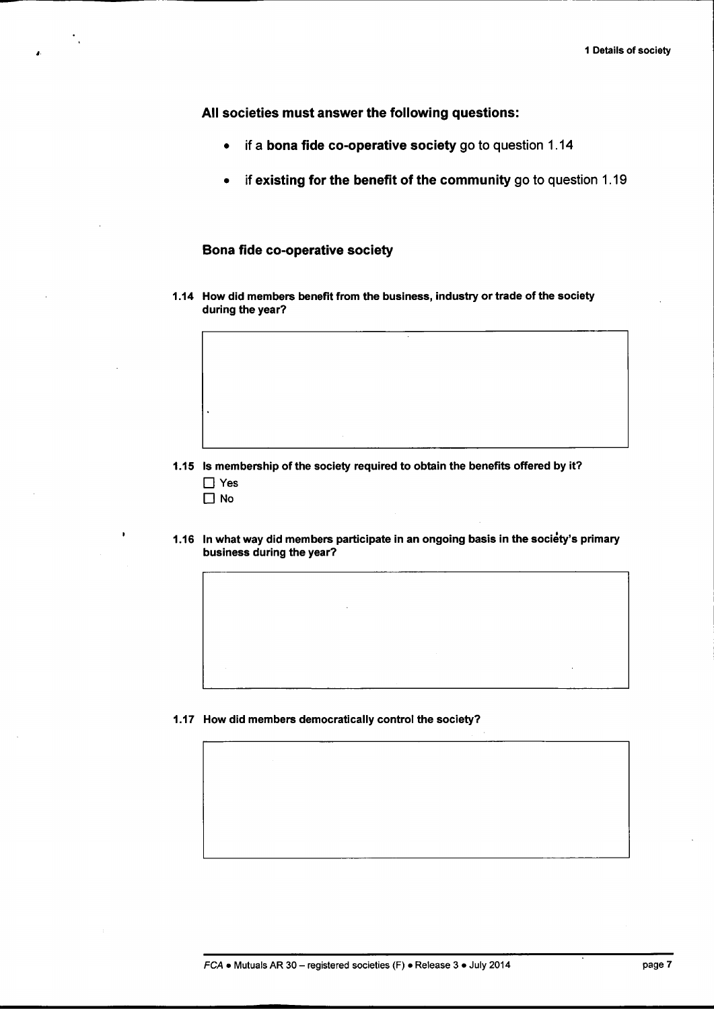All societies must answer the following questions:

- if a bona fide co-operative society go to question 1.14  $\bullet$
- if existing for the benefit of the community go to question *1.19*   $\bullet$

# Bona fide co-operative society

*1.14* How did members benefit from the business, industry or trade of the society during the year?

- 1.15 Is membership of the society required to obtain the benefits offered by it?  $\Box$  Yes  $\Box$  No
- 1.16 In what way did members participate in an ongoing basis in the society's primary business during the year?

1.17 How did members democratically control the society?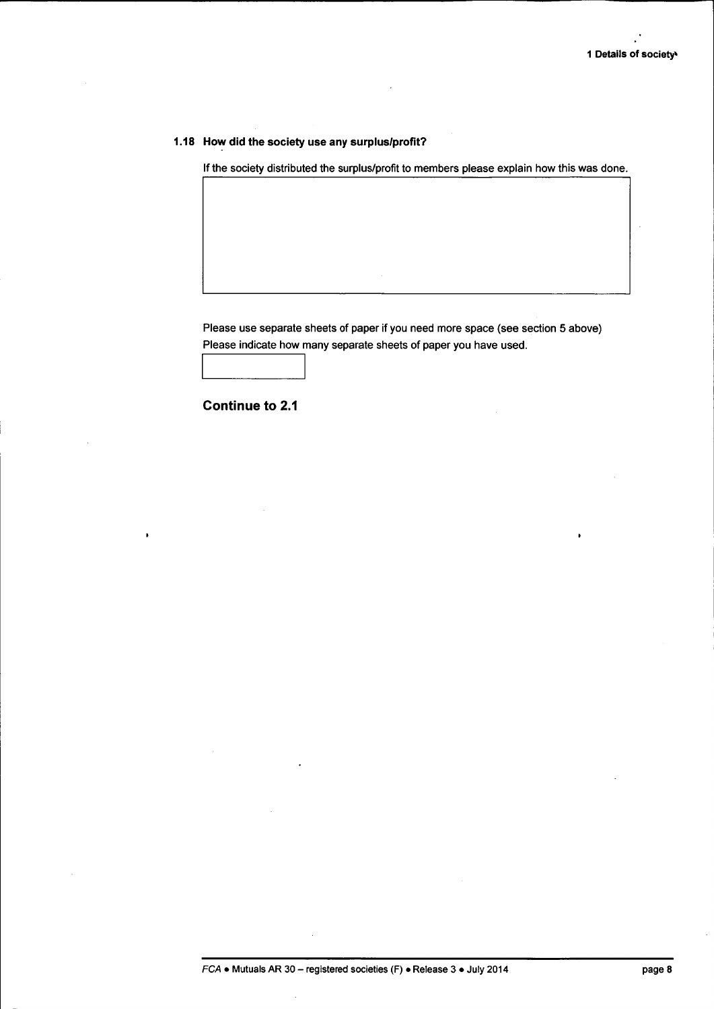# **1.18 How did the society use any surplus/profit?**

**If the** society distributed the surplus/profit to members please explain how this was done.

Please use separate sheets of paper if you need more space (see section 5 above) Please indicate how many separate sheets of paper you have used.

**Continue to 2.1**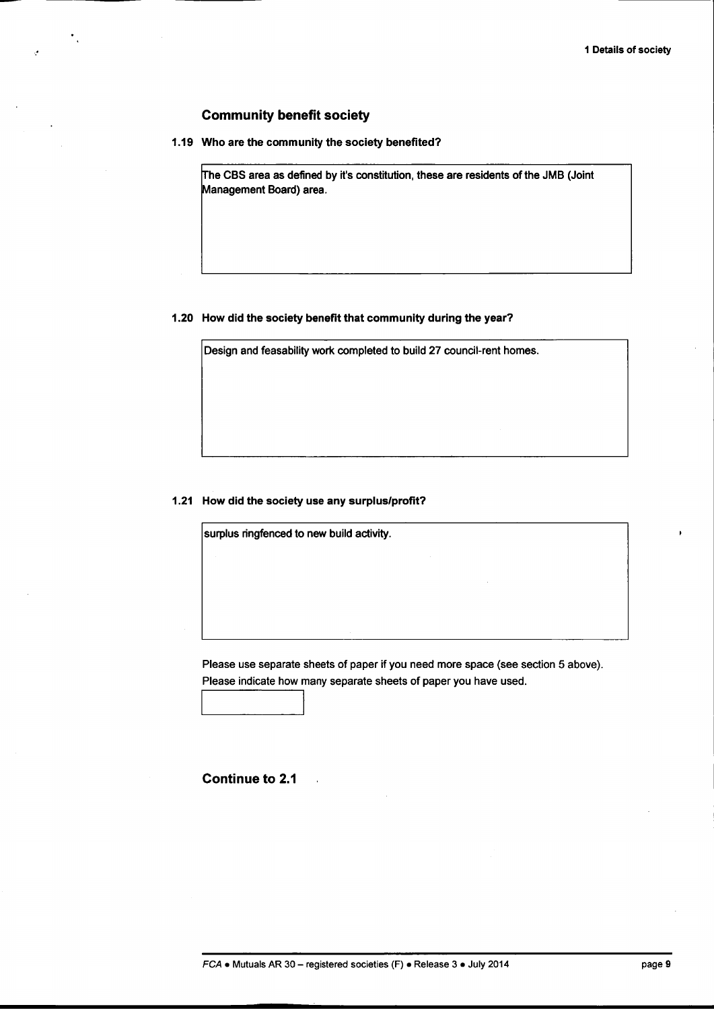# **Community benefit society**

 $\overline{\phantom{a}}$  .

1.19 Who are the community the society benefited?

The CBS area as defined by it's constitution, these are residents of the JMB (Joint Management Board) area.

#### 1.20 How did the society benefit that community during the year?

Design and feasability work compteted to build 27 council-rent homes.

#### 1.21 How did the society use any surplus/profit?

surplus ringfenced to new build activity.

Please use separate sheets of paper if you need more space (see section 5 above).<br>
Please indicate how many separate sheets of paper you have used. Please indicate how many separate sheets of paper you have used.

**Continue to 2.1**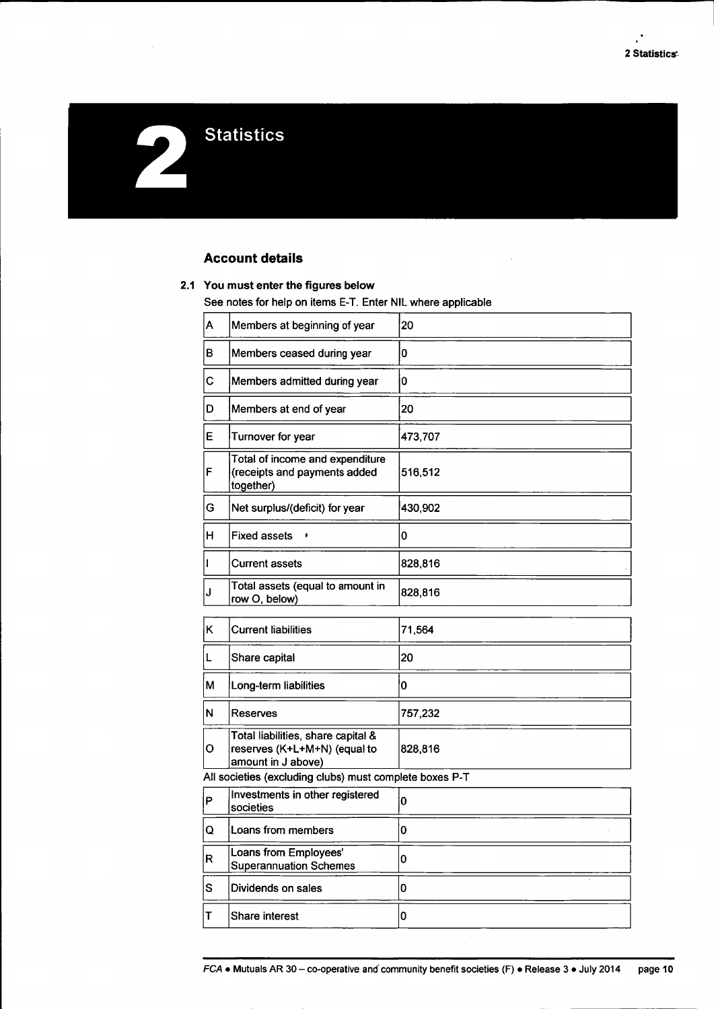$\mathbf{R}$ 

# **Statistics**

# **Account details**

# 2.1 You must enter the figures below

See notes for help on items E-T. Enter NIL where applicable

| A            | Members at beginning of year                                                             | 20      |
|--------------|------------------------------------------------------------------------------------------|---------|
| в            | Members ceased during year                                                               | 0       |
| C            | Members admitted during year                                                             | 0       |
| D            | Members at end of year                                                                   | 20      |
| Е            | Turnover for year                                                                        | 473,707 |
| F            | Total of income and expenditure<br>(receipts and payments added<br>together)             | 516,512 |
| G            | Net surplus/(deficit) for year                                                           | 430,902 |
| н            | <b>Fixed assets</b>                                                                      | 0       |
| 1            | <b>Current assets</b>                                                                    | 828,816 |
| J            | Total assets (equal to amount in<br>row O, below)                                        | 828,816 |
| κ            | <b>Current liabilities</b>                                                               | 71,564  |
| L            | Share capital                                                                            | 20      |
| M            | Long-term liabilities                                                                    | 0       |
| N            | Reserves                                                                                 | 757,232 |
| о            | Total liabilities, share capital &<br>reserves (K+L+M+N) (equal to<br>amount in J above) | 828,816 |
|              | All societies (excluding clubs) must complete boxes P-T                                  |         |
| P            | Investments in other registered<br>societies                                             | 0       |
| Q            | Loans from members                                                                       | 0       |
| R            | Loans from Employees'<br><b>Superannuation Schemes</b>                                   | 0       |
| $\mathbf{s}$ | Dividends on sales                                                                       | 0       |
| Τ            | Share interest                                                                           | 0       |

 $\bar{z}$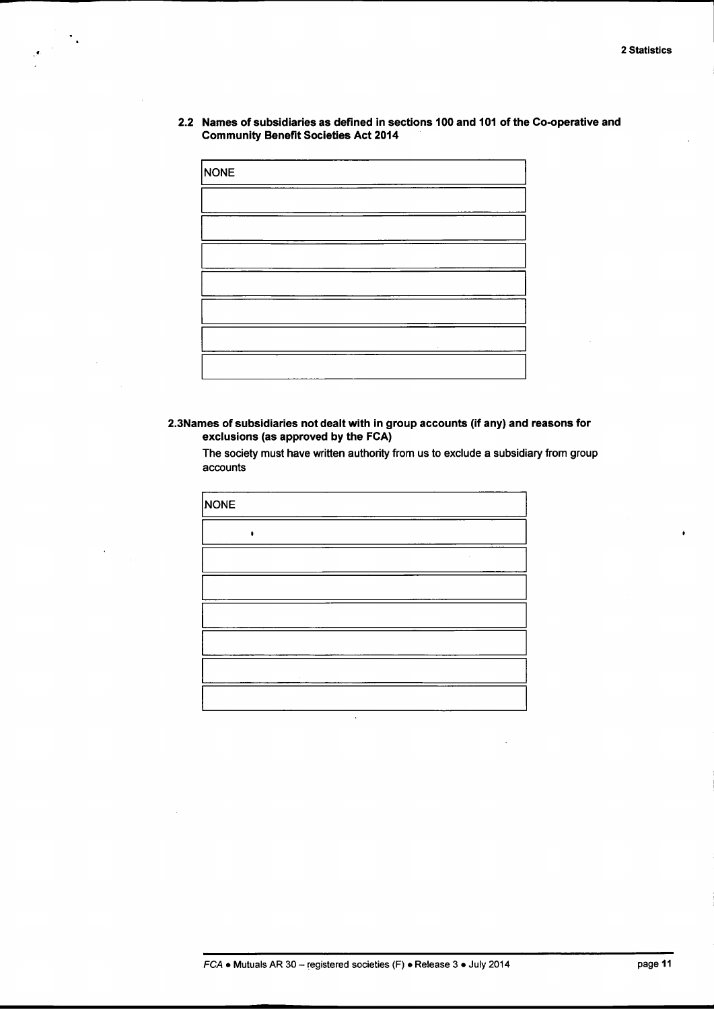2.2 Names of subsidiaries as defined in sections 100 and 101 of the Co-operative and Community Benefit Societies Act 2014

| NONE |  |  |
|------|--|--|
|      |  |  |
|      |  |  |
|      |  |  |
|      |  |  |
|      |  |  |
|      |  |  |
|      |  |  |
|      |  |  |

۰.

2.3Names of subsidiaries not dealt with in group accounts (if any) and reasons for exclusions (as approved by the FCA)

The society must have written authority from us to exclude a subsidiary from group accounts

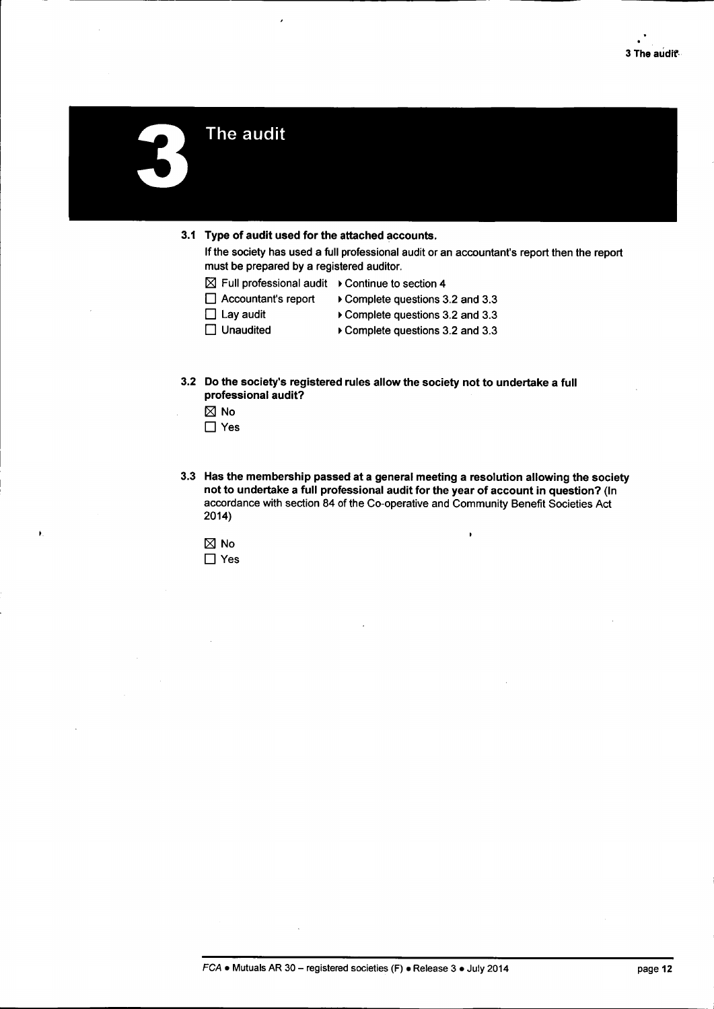# The audit

#### 3.1 Type of audit used for the attached accounts.

If the society has used a full professional audit or an accountant's report then the report must be prepared by a registered auditor.

- $\boxtimes$  Full professional audit  $\rightarrow$  Continue to section 4
- 
- $\Box$  Accountant's report  $\Box$  Complete questions 3.2 and 3.3<br> $\Box$  Lay audit  $\Box$  Complete questions 3.2 and 3.3
- 
- $\Box$  Lay audit  $\Box$  Complete questions 3.2 and 3.3<br> $\Box$  Unaudited  $\Box$  Complete questions 3.2 and 3.3
	-
- $\blacktriangleright$  Complete questions 3.2 and 3.3
- 3.2 Do the society's registered rules allow the society not to undertake a full professional audit?
	- ⊠ No
	- □ Yes
- 3.3 Has the membership passed at a general meeting a resolution allowing the society not to undertake a full professional audit for the year of account in question? (In accordance with section 84 of the Co-operative and Community Benefit Societies Act 2014)

 $\cdot$ 

⊠ No

 $\Box$  Yes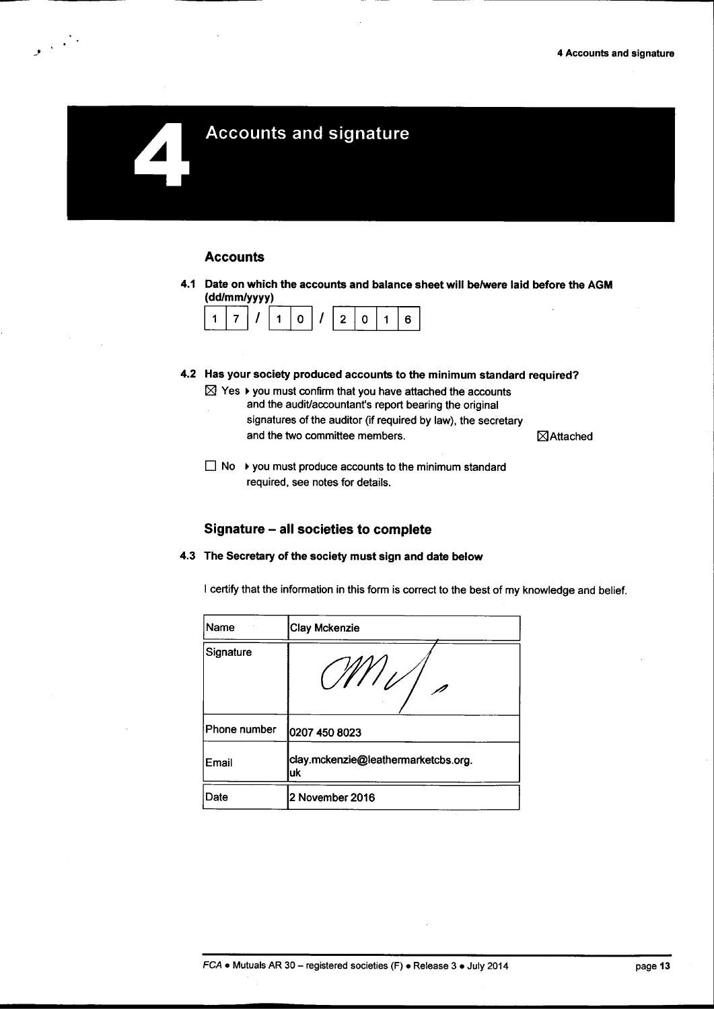# **Accounts and signature**

# **Accounts**

وي.<br>المريض

4.1 Date on which the accounts and balance sheet will belwere laid before the AGM (dd!mm!yyyy)



- 4.2 Has your society produced accounts to the minimum standard required?
	- $\boxtimes$  Yes  $\blacktriangleright$  you must confirm that you have attached the accounts and the audit/accountant's report bearing the original signatures of the auditor (if required by law), the secretary and the two committee members.  $\boxtimes$  Attached

 $\Box$  No  $\rightarrow$  you must produce accounts to the minimum standard required, see notes for details.

# Signature - all societies to complete

### 4.3 The Secretary of the society must sign and date below

I certify that the information in this form is correct to the best of my knowledge and belief.

| Name         | Clay Mckenzie                             |
|--------------|-------------------------------------------|
| Signature    |                                           |
| Phone number | 0207 450 8023                             |
| Email        | clay.mckenzie@leathermarketcbs.org.<br>uk |
| Date         | 2 November 2016                           |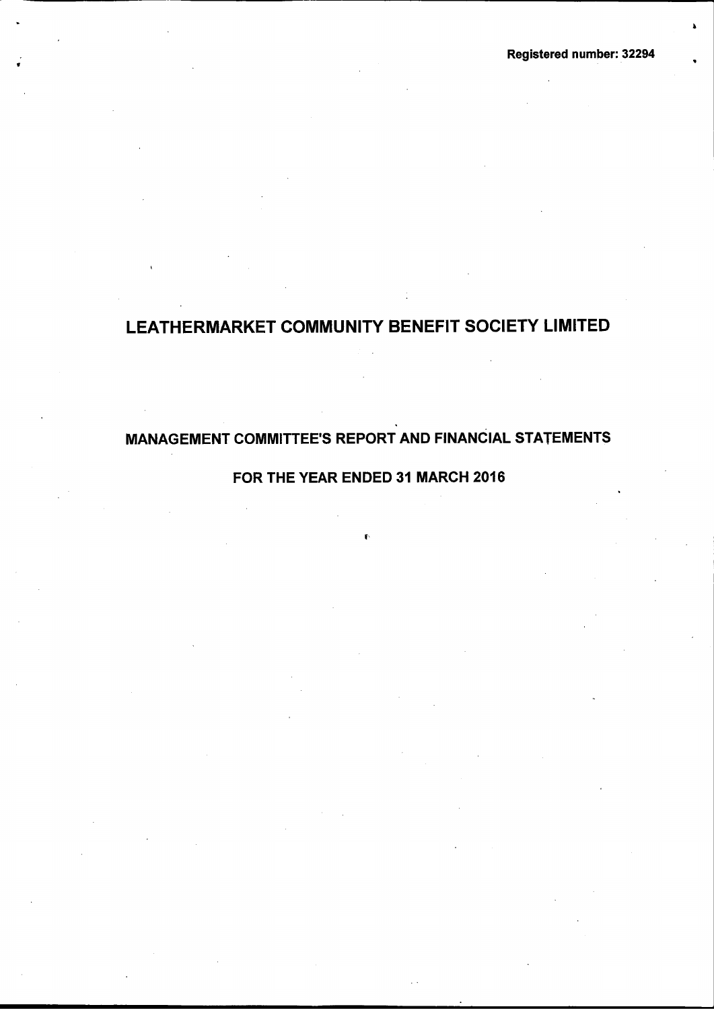# MANAGEMENT COMMITTEE'S REPORT AND FINANCIAL STATEMENTS

# FOR THE YEAR ENDED 31 MARCH 2016

 $\mathbf{r}$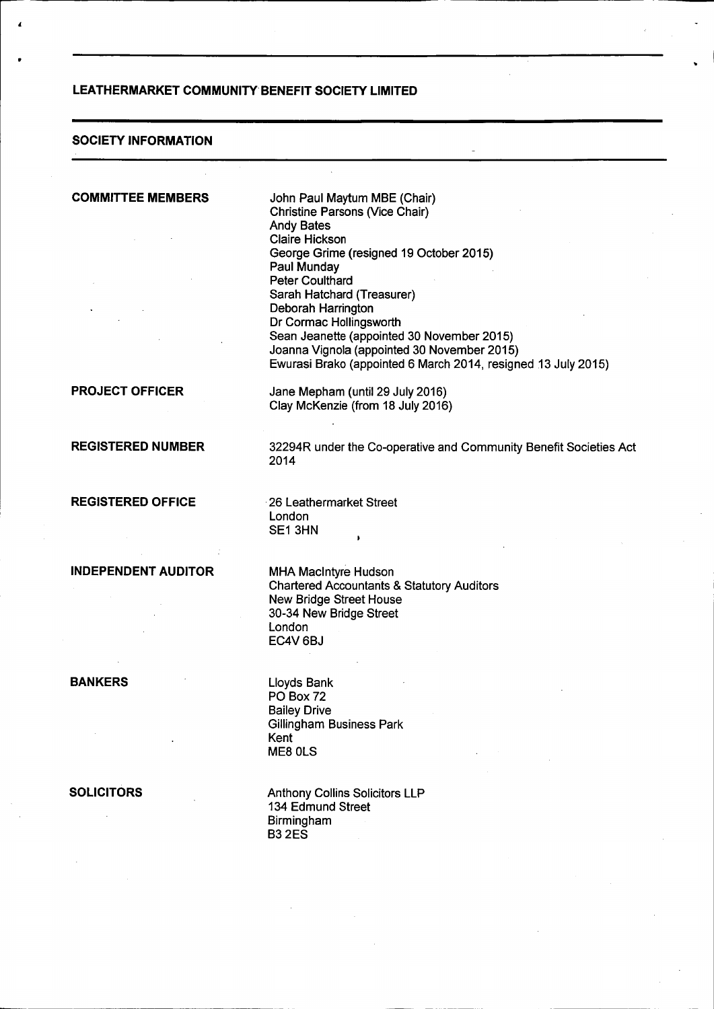# **SOCIETY INFORMATION**

 $\overline{1}$ 

| <b>COMMITTEE MEMBERS</b>   | John Paul Maytum MBE (Chair)<br><b>Christine Parsons (Vice Chair)</b><br><b>Andy Bates</b><br><b>Claire Hickson</b><br>George Grime (resigned 19 October 2015)<br>Paul Munday<br><b>Peter Coulthard</b><br>Sarah Hatchard (Treasurer)<br>Deborah Harrington<br>Dr Cormac Hollingsworth<br>Sean Jeanette (appointed 30 November 2015)<br>Joanna Vignola (appointed 30 November 2015)<br>Ewurasi Brako (appointed 6 March 2014, resigned 13 July 2015) |
|----------------------------|------------------------------------------------------------------------------------------------------------------------------------------------------------------------------------------------------------------------------------------------------------------------------------------------------------------------------------------------------------------------------------------------------------------------------------------------------|
| <b>PROJECT OFFICER</b>     | Jane Mepham (until 29 July 2016)<br>Clay McKenzie (from 18 July 2016)                                                                                                                                                                                                                                                                                                                                                                                |
| <b>REGISTERED NUMBER</b>   | 32294R under the Co-operative and Community Benefit Societies Act<br>2014                                                                                                                                                                                                                                                                                                                                                                            |
| <b>REGISTERED OFFICE</b>   | 26 Leathermarket Street<br>London<br>SE1 3HN                                                                                                                                                                                                                                                                                                                                                                                                         |
| <b>INDEPENDENT AUDITOR</b> | <b>MHA MacIntyre Hudson</b><br><b>Chartered Accountants &amp; Statutory Auditors</b><br>New Bridge Street House<br>30-34 New Bridge Street<br>London<br>EC4V 6BJ                                                                                                                                                                                                                                                                                     |
| <b>BANKERS</b>             | Lloyds Bank<br>PO Box 72<br><b>Bailey Drive</b><br>Gillingham Business Park<br>Kent<br>ME8 OLS                                                                                                                                                                                                                                                                                                                                                       |
| <b>SOLICITORS</b>          | <b>Anthony Collins Solicitors LLP</b><br>134 Edmund Street<br>Birmingham<br><b>B3 2ES</b>                                                                                                                                                                                                                                                                                                                                                            |

 $\overline{a}$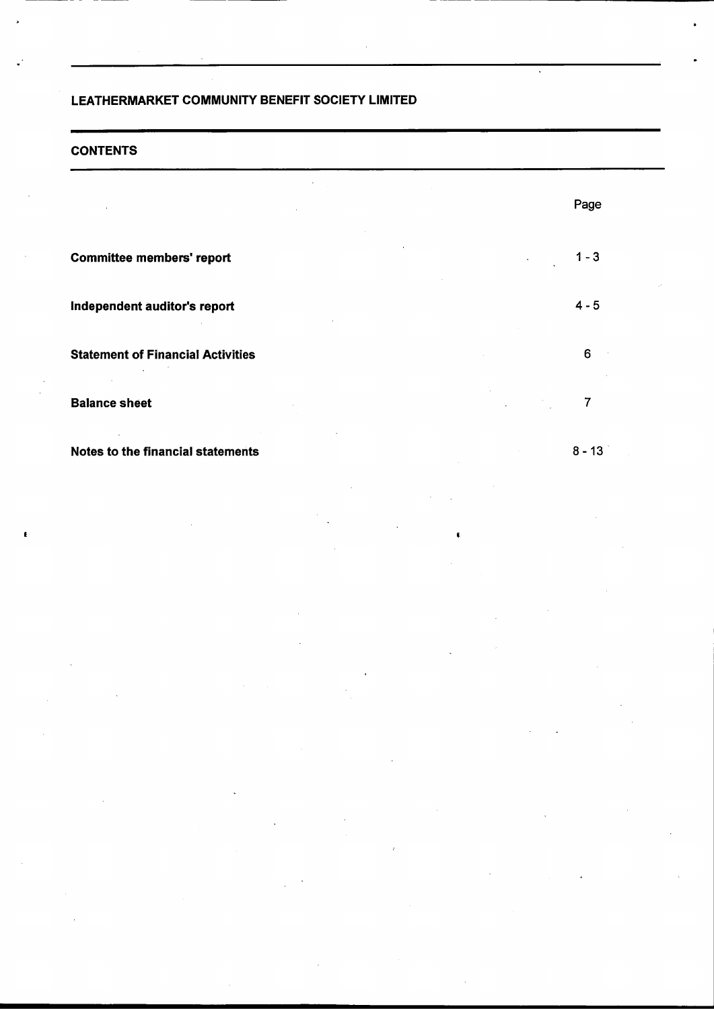I \*

# **CONTENTS**

|                                          |                                                     | Page    |
|------------------------------------------|-----------------------------------------------------|---------|
| <b>Committee members' report</b>         | $\Delta$                                            | $1 - 3$ |
| Independent auditor's report             |                                                     | $4 - 5$ |
| <b>Statement of Financial Activities</b> |                                                     | 6       |
| <b>Balance sheet</b>                     | $\Delta \sim 10^{10}$ MeV and $\Delta \sim 10^{10}$ |         |

 $\overline{a}$ 

Notes to the financial statements **8** - 13

 $\overline{\cdot}$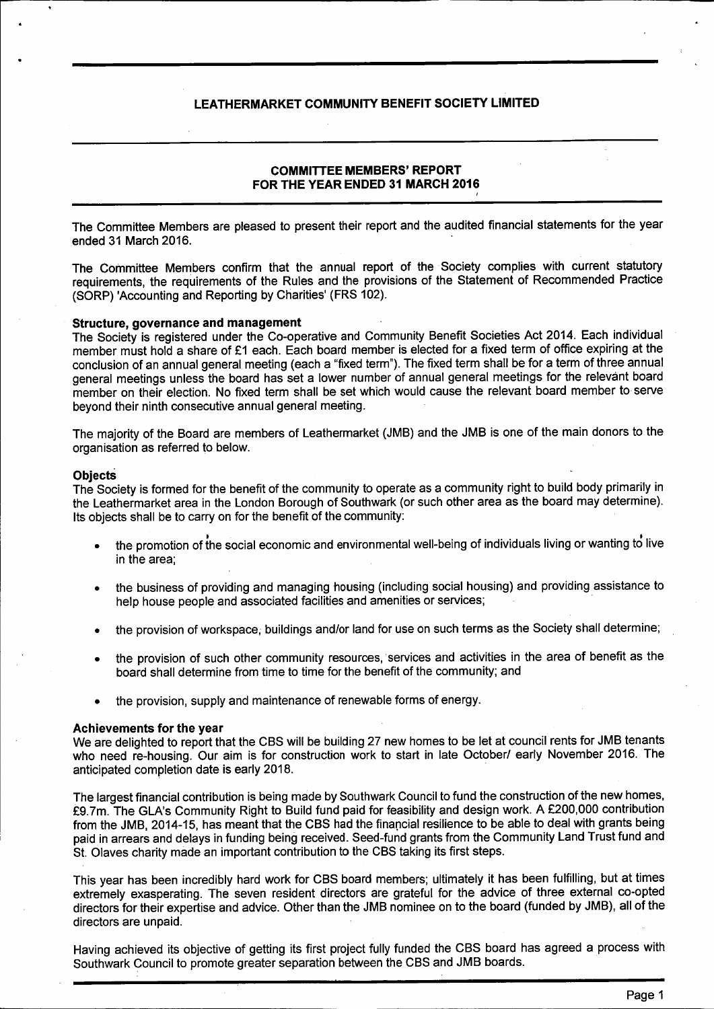# **COMMITFEE MEMBERS' REPORT FOR THE YEAR ENDED 31 MARCH 2016**

The Committee Members are pleased to present their report and the audited financial statements for the year ended 31 March 2016.

The Committee Members confirm that the annual report of the Society complies with current statutory requirements, the requirements of the Rules and the provisions of the Statement of Recommended Practice (SORP) 'Accounting and Reporting by Charities' (FRS 102).

#### **Structure, governance and management**

The Society is registered under the Co-operative and Community Benefit Societies Act 2014. Each individual member must hold a share of £1 each. Each board member is elected for a fixed term of office expiring at the conclusion of an annual general meeting (each a "fixed term"). The fixed term shall be for a term of three annual general meetings unless the board has set a lower number of annual general meetings for the relevant board member on their election. No fixed term shall be set which would cause the relevant board member to serve beyond their ninth consecutive annual general meeting.

The majority of the Board are members of Leathermarket (JMB) and the JMB is one of the main donors to the organisation as referred to below.

#### **Objects**

The Society is formed for the benefit of the community to operate as a community right to build body primarily in the Leathermarket area in the London Borough of Southwark (or such other area as the board may determine). Its objects shall be to carry on for the benefit of the community:

- the promotion of the social economic and environmental well-being of individuals living or wanting to live in the area;
- the business of providing and managing housing (including social housing) and providing assistance to help house people and associated facilities and amenities or services;
- the provision of workspace, buildings and/or land for use on such terms as the Society shall determine;
- the provision of such other community resources, services and activities in the area of benefit as the board shall determine from time to time for the benefit of the community; and
- the provision, supply and maintenance of renewable forms of energy.

#### **Achievements for the year**

We are delighted to report that the CBS will be building 27 new homes to be let at council rents for JMB tenants who need re-housing. Our aim is for construction work to start in late October/ early November 2016. The anticipated completion date is early 2018.

The largest financial contribution is being made by Southwark Council to fund the construction of the new homes, £9.7m. The GLA's Community Right to Build fund paid for feasibility and design work. A £200,000 contribution from the JMB, 2014-15, has meant that the CBS had the financial resilience to be able to deal with grants being paid in arrears and delays in funding being received. Seed-fund grants from the Community Land Trust fund and St. Olaves charity made an important contribution to the CBS taking its first steps.

This year has been incredibly hard work for CBS board members; ultimately it has been fulfilling, but at times extremely exasperating. The seven resident directors are grateful for the advice of three external co-opted directors for their expertise and advice. Other than the JMB nominee on to the board (funded by JMB), all of the directors are unpaid.

Having achieved its objective of getting its first project fully funded the CBS board has agreed a process with Southwark Council to promote greater separation between the CBS and JMB boards.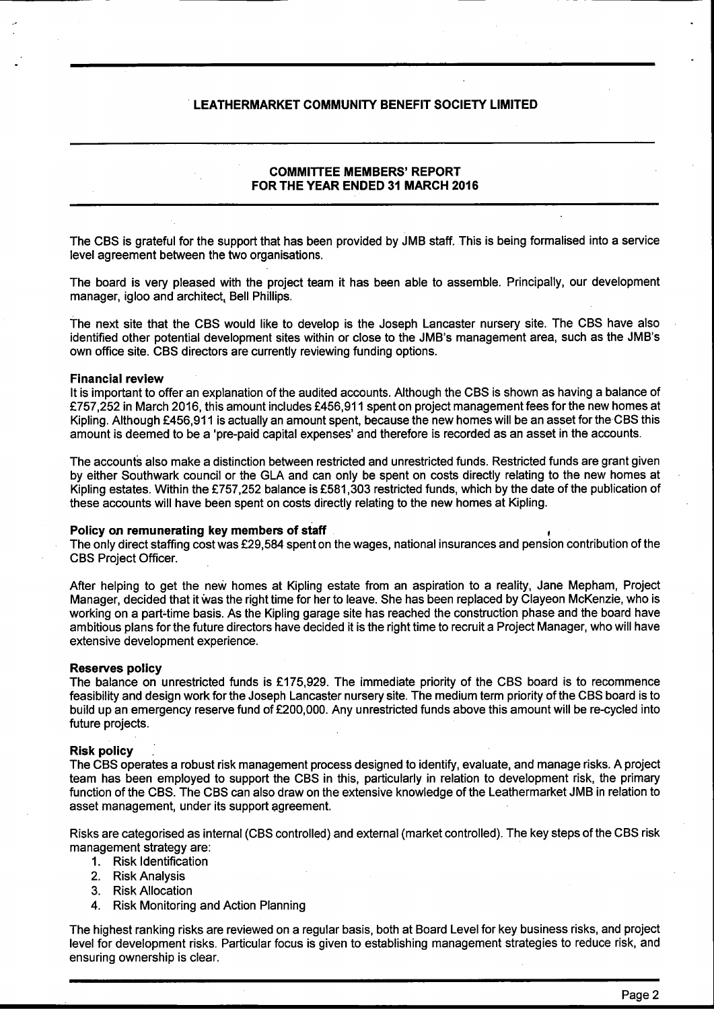# **COMMITTEE MEMBERS' REPORT FOR THE YEAR ENDED 31 MARCH 2016**

The CBS is grateful for the support that has been provided by JMB staff. This is being formalised into a service level agreement between the two organisations.

The board is very pleased with the project team it has been able to assemble. Principally, our development manager, igloo and architect, Bell Phillips.

The next site that the CBS would like to develop is the Joseph Lancaster nursery site. The CBS have also identified other potential development sites within or close to the JMB's management area, such as the JMB's own office site. CBS directors are currently reviewing funding options.

#### **Financial review**

It is important to offer an explanation of the audited accounts. Although the CBS is shown as having a balance of £757,252 in March 2016, this amount includes £456,911 spent on project management fees for the new homes at Kipling. Although £456,911 is actually an amount spent, because the new homes will be an asset for the CBS this amount is deemed to be a 'pre-paid capital expenses' and therefore is recorded as an asset in the accounts.

The accounts also make a distinction between restricted and unrestricted funds. Restricted funds are grant given by either Southwark council or the GLA and can only be spent on costs directly relating to the new homes at Kipling estates. Within the £757,252 balance is £581,303 restricted funds, which by the date of the publication of these accounts will have been spent on costs directly relating to the new homes at Kipling.

#### **Policy on remunerating key members of staff**

The only direct staffing cost was £29,584 spent on the wages, national insurances and pension contribution of the CBS Project Officer.

After helping to get the new homes at Kipling estate from an aspiration to a reality, Jane Mepham, Project Manager, decided that it was the right time for her to leave. She has been replaced by Clayeon McKenzie, who is working on a part-time basis. As the Kipling garage site has reached the construction phase and the board have ambitious plans for the future directors have decided it is the right time to recruit a Project Manager, who will have extensive development experience.

#### **Reserves policy**

The balance on unrestricted funds is £175,929. The immediate priority of the CBS board is to recommence feasibility and design work for the Joseph Lancaster nursery site. The medium term priority of the CBS board is to build up an emergency reserve fund of £200,000. Any unrestricted funds above this amount will be re-cycled into future projects.

#### **Risk policy**

The CBS operates a robust risk management process designed to identify, evaluate, and manage risks. A project team has been employed to support the CBS in this, particularly in relation to development risk, the primary function of the CBS. The CBS can also draw on the extensive knowledge of the Leathermarket JMB in relation to asset management, under its support agreement.

Risks are categorised as internal (CBS controlled) and external (market controlled). The key steps of the CBS risk management strategy are:

- 1. Risk Identification
- 2. Risk Analysis
- 3. Risk Allocation
- 4. Risk Monitoring and Action Planning

The highest ranking risks are reviewed on a regular basis, both at Board Level for key business risks, and project level for development risks. Particular focus is given to establishing management strategies to reduce risk, and ensuring ownership is clear.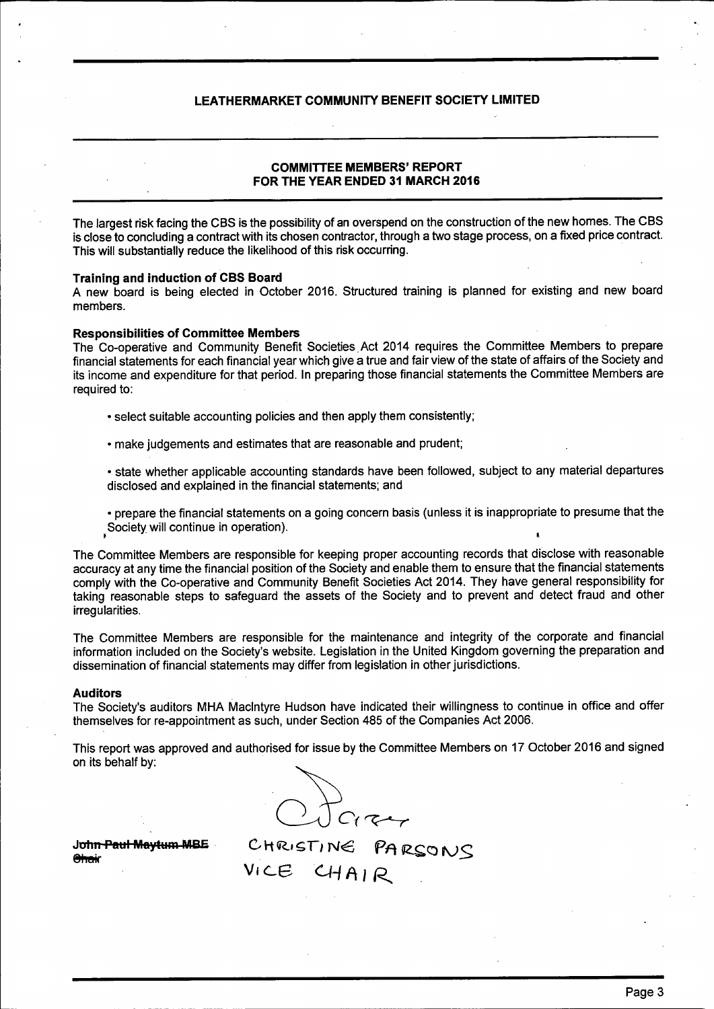# **COMMlTEE MEMBERS' REPORT FOR THE YEAR ENDED 31 MARCH 2016**

**The** largest risk facing the CBS is the possibility of an overspend on the construction of the new homes. The CBS is close to concluding a contract with its chosen contractor, through a two stage process, on a fixed price contract. This will substantially reduce the likelihood of this risk occurring.

#### **Training and induction of CBS Board**

A new board is being elected in October 2016. Structured training is planned for existing and new board members.

#### **Responsibilities of Committee Members**

The Co-operative and Community Benefit Societies Act 2014 requires the Committee Members to prepare financial statements for each financial year which give a true and fair view of the state of affairs of the Society and its income and expenditure for that period. In preparing those financial statements the Committee Members are required to:

- select suitable accounting policies and then apply them consistently;
- make judgements and estimates that are reasonable and prudent;

• state whether applicable accounting standards have been followed, subject to any material departures disclosed and explained in the financial statements; and

• prepare the financial statements on a going concern basis (unless it is inappropriate to presume that the Society, will continue in operation).

The Committee Members are responsible for keeping proper accounting records that disclose with reasonable accuracy at any time the financial position of the Society and enable them to ensure that the financial statements comply with the Co-operative and Community Benefit Societies Act 2014. They have general responsibility for taking reasonable steps to safeguard the assets of the Society and to prevent and detect fraud and other irregularities.

The Committee Members are responsible for the maintenance and integrity of the corporate and financial information included on the Society's website. Legislation in the United Kingdom governing the preparation and dissemination of financial statements may differ from legislation in other jurisdictions.

#### **Auditors**

The Society's auditors MHA Maclntyre Hudson have indicated their willingness to continue in office and offer themselves for re-appointment as such, under Section 485 of the Companies Act 2006.

This report was approved and authorised for issue by the Committee Members on 17 October 2016 and signed on its behalf by:

**rç -** 

J<del>ohn Paul Maytum MBE</del> CHRISTING PARSONS vicE **-4iR**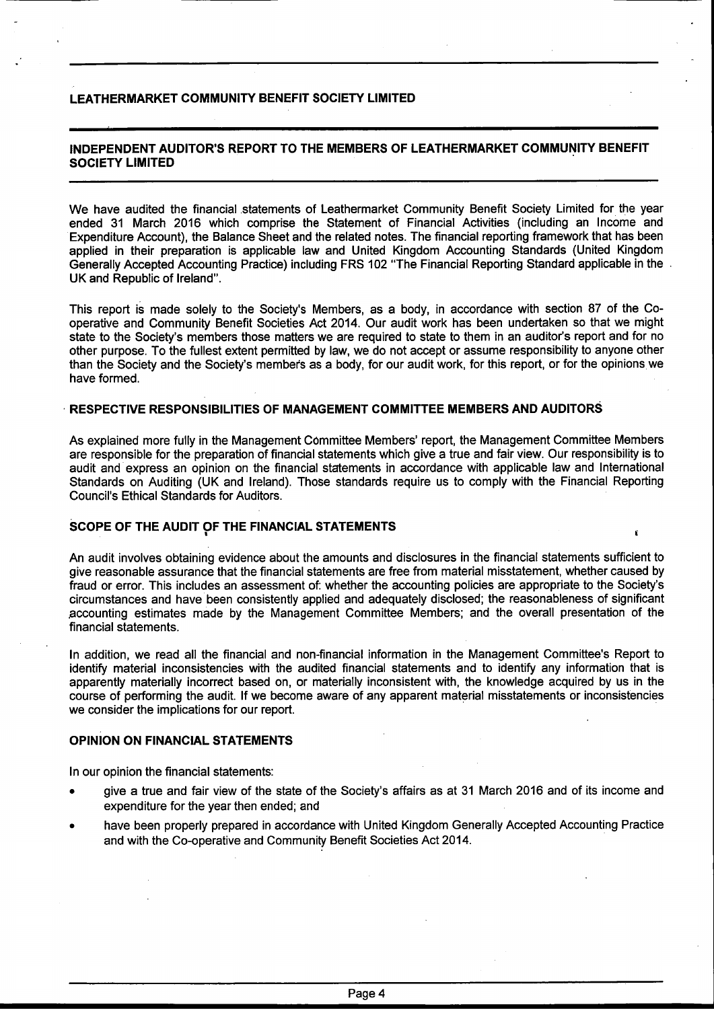# **INDEPENDENT AUDITOR'S REPORT TO THE MEMBERS OF LEATHERMARKET COMMUNITY BENEFIT SOCIETY LIMITED**

We have audited the financial statements of Leathermarket Community Benefit Society Limited for the year ended 31 March 2016 which comprise the Statement of Financial Activities (including an Income and Expenditure Account), the Balance Sheet and the related notes. The financial reporting framework that has been applied in their preparation is applicable law and United Kingdom Accounting Standards (United Kingdom Generally Accepted Accounting Practice) including FRS 102 "The Financial Reporting Standard applicable in the UK and Republic of Ireland".

This report is made solely to the Society's Members, as a body, in accordance with section 87 of the Cooperative and Community Benefit Societies Act 2014. Our audit work has been undertaken so that we might state to the Society's members those matters we are required to state to them in an auditor's report and for no other purpose. To the fullest extent permitted by law, we do not accept or assume responsibility to anyone other than the Society and the Society's members as a body, for our audit work, for this report, or for the opinions we have formed.

### **RESPECTIVE RESPONSIBILITIES OF MANAGEMENT COMMITTEE MEMBERS AND AUDITORS**

As explained more fully in the Management Committee Members' report, the Management Committee Members are responsible for the preparation of financial statements which give a true and fair view. Our responsibility is to audit and express an opinion on the financial statements in accordance with applicable law and International Standards on Auditing (UK and Ireland). Those standards require us to comply with the Financial Reporting Council's Ethical Standards for Auditors.

# **SCOPE OF THE AUDIT OF THE FINANCIAL STATEMENTS**

An audit involves obtaining evidence about the amounts and disclosures in the financial statements sufficient to give reasonable assurance that the financial statements are free from material misstatement, whether caused by fraud or error. This includes an assessment of: whether the accounting policies are appropriate to the Society's circumstances and have been consistently applied and adequately disclosed; the reasonableness of significant .accounting estimates made by the Management Committee Members; and the overall presentation of the financial statements.

In addition, we read all the financial and non-financial information in the Management Committee's Report to identify material inconsistencies with the audited financial statements and to identify any information that is apparently materially incorrect based on, or materially inconsistent with, the knowledge acquired by us in the course of performing the audit. If we become aware of any apparent material misstatements or inconsistencies we consider the implications for our report.

## **OPINION ON FINANCIAL STATEMENTS**

In our opinion the financial statements:

- give a true and fair view of the state of the Society's affairs as at 31 March 2016 and of its income and expenditure for the year then ended; and
- have been properly prepared in accordance with United Kingdom Generally Accepted Accounting Practice and with the Co-operative and Community Benefit Societies Act 2014.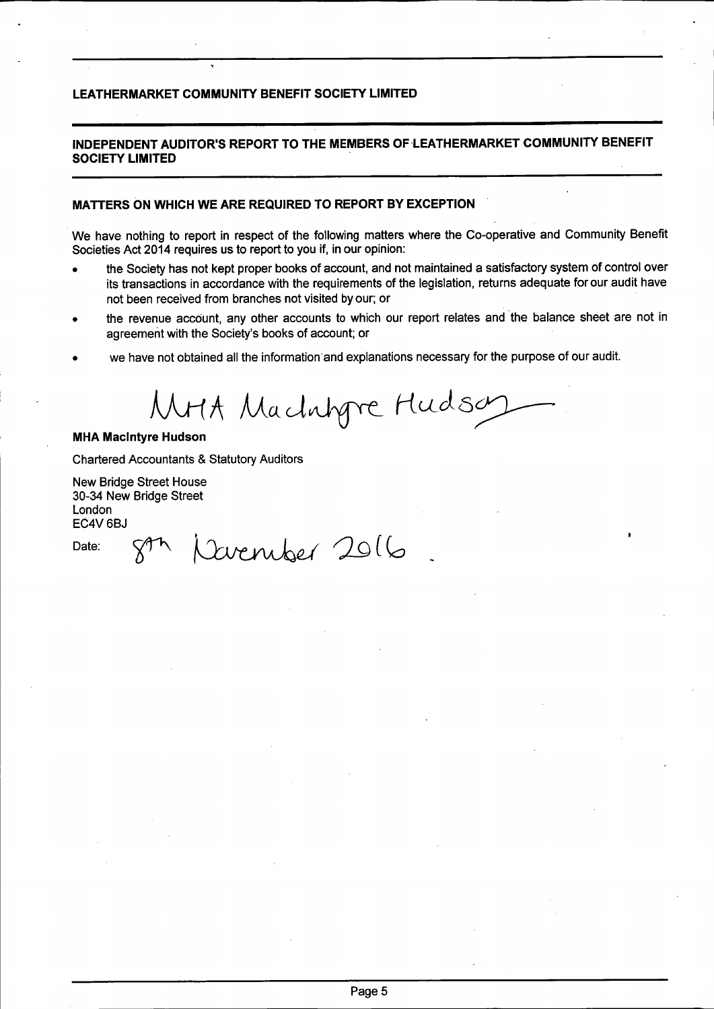# **INDEPENDENT AUDITOR'S REPORT TO THE MEMBERS OF LEATHERMARKET COMMUNITY BENEFIT SOCIETY LIMITED**

# **MATTERS ON WHICH WE ARE REQUIRED TO REPORT BY EXCEPTION**

We have nothing to report in respect of the following matters where the Co-operative and Community Benefit Societies Act 2014 requires us to report to you if, in our opinion:

- the Society has not kept proper books of account, and not maintained a satisfactory system of control over its transactions in accordance with the requirements of the legislation, returns adequate for our audit have not been received from branches not visited by our; or
- the revenue account, any other accounts to which our report relates and the balance sheet are not in agreement with the Society's books of account; or
- we have not obtained all the information and explanations necessary for the purpose of our audit.

**MrtA** MacInhare Hudson

#### **MHA Macintyre Hudson**

Chartered Accountants & Statutory Auditors

New Bridge Street House 30-34 New Bridge Street London EC4V 6BJ

Davenuber 2016 Date: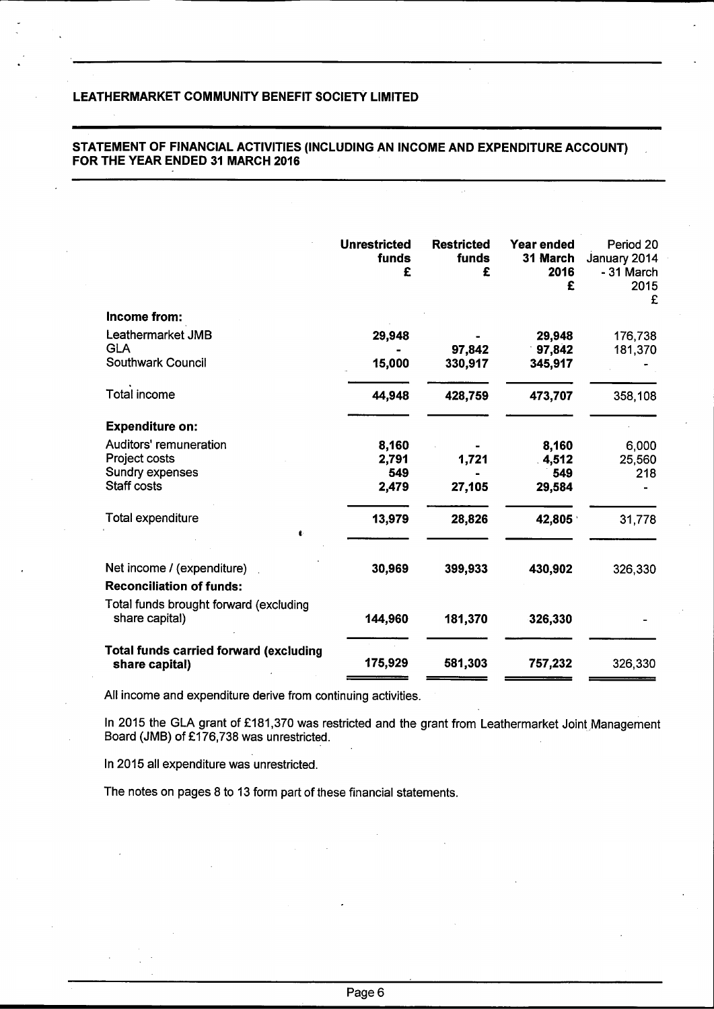# Unrestricted Restricted Year ended Period 20<br>funds funds 31 March January 2014 January 2014 £ £ 2016 - 31 March **£ 2015 £**  29,948 - 29,948 176,738 - 97,842 97,842 181,370 330,917 44,948 428,759 **473,707** 358,108 **8,160** - **8,160** 6,000 **2,791 1,721 4,512 25,560 549** - **549 218 2,479 27,105 29,584** - **13,979 28,826 42,805** 31,778 **30,969 399,933 430,902 326,330**  Income from: Leathermarket JMB GLA Southwark Council Total income Expenditure on: Auditors' remuneration Project costs Sundry expenses Staff costs Total expenditure Net income / (expenditure) **Reconciliation of** funds: Total funds brought forward (excluding share capital) **144,960** 181,370 326,330 Total funds **carried forward (excluding**

## **STATEMENT OF FINANCIAL ACTIVITIES (INCLUDING AN INCOME AND EXPENDITURE ACCOUNT) FOR THE YEAR ENDED 31 MARCH 2016**

All income and expenditure derive from continuing activities.

In 2015 the GLA grant of £181,370 was restricted and the grant from Leathermarket Joint Management Board (JMB) of £176,738 was unrestricted.

share capital) **175,929** 581,303 757,232 326,330

In 2015 all expenditure was unrestricted.

The notes on pages 8 to 13 form part of these financial statements.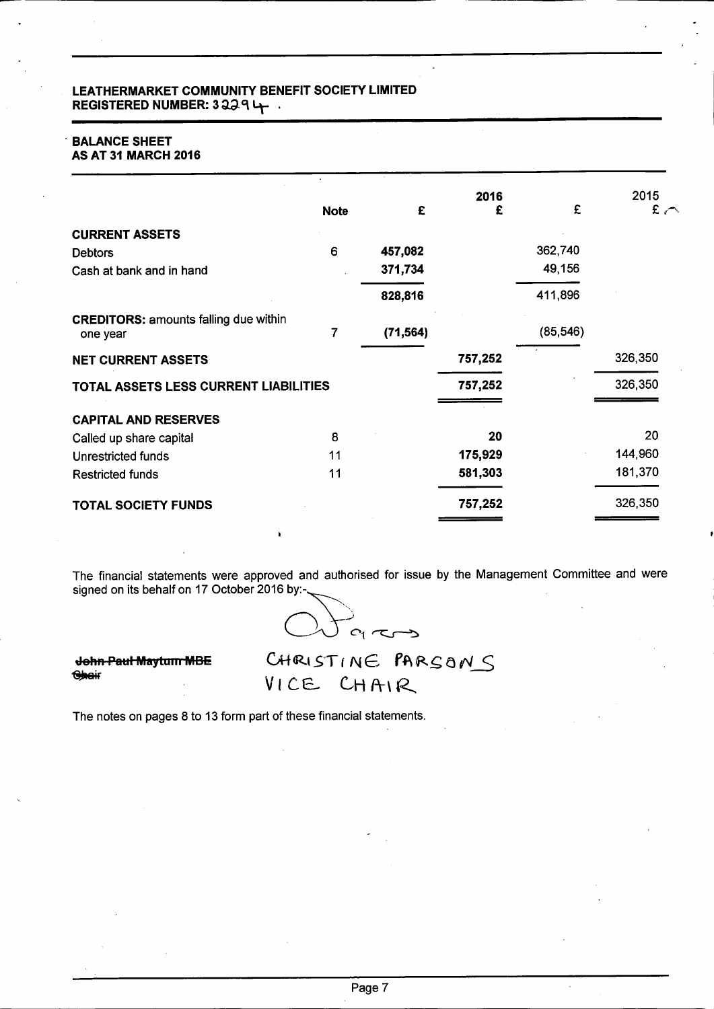# LEATHERMARKET COMMUNITY BENEFIT SOCIETY LIMITED<br>REGISTERED NUMBER: 3 <del>a2 9 பு-</del>

#### **BALANCE SHEET AS AT 31 MARCH 2016**

|                                                          | <b>Note</b> | £         | 2016<br>£ | £         | 2015<br>$E \curvearrowright$ |
|----------------------------------------------------------|-------------|-----------|-----------|-----------|------------------------------|
| <b>CURRENT ASSETS</b>                                    |             |           |           |           |                              |
| <b>Debtors</b>                                           | 6           | 457,082   |           | 362,740   |                              |
| Cash at bank and in hand                                 |             | 371,734   |           | 49,156    |                              |
|                                                          |             | 828,816   |           | 411,896   |                              |
| <b>CREDITORS: amounts falling due within</b><br>one year | 7           | (71, 564) |           | (85, 546) |                              |
| <b>NET CURRENT ASSETS</b>                                |             |           | 757,252   |           | 326,350                      |
| TOTAL ASSETS LESS CURRENT LIABILITIES                    |             |           | 757,252   |           | 326,350                      |
| <b>CAPITAL AND RESERVES</b>                              |             |           |           |           |                              |
| Called up share capital                                  | 8           |           | 20        |           | 20                           |
| <b>Unrestricted funds</b>                                | 11          |           | 175,929   |           | 144,960                      |
| <b>Restricted funds</b>                                  | 11          |           | 581,303   |           | 181,370                      |
| <b>TOTAL SOCIETY FUNDS</b>                               |             |           | 757,252   |           | 326,350                      |

The financial statements were approved and authorised for issue by the Management Committee and were signed on its behalf on 17 October 2016 by:-

 $\overline{\phantom{a}}$  $\overline{\phantom{a}}$ 

John Paul Maytum MBE CHRISTINE PARSONS VICE CHAIR

The notes on pages 8 to 13 form part of these financial statements.

L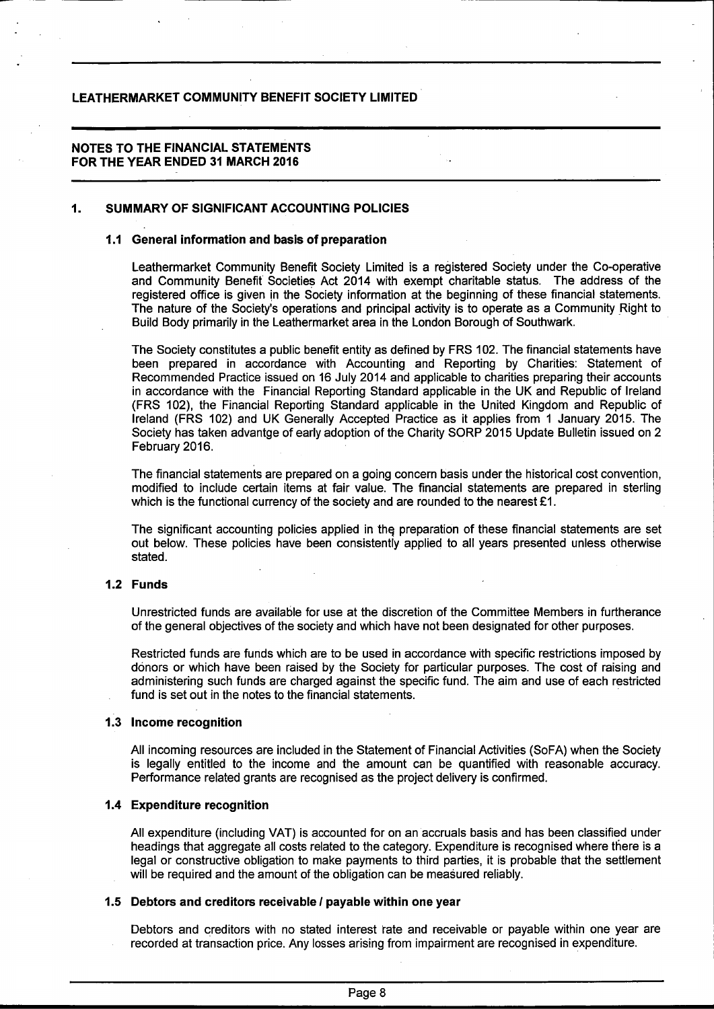# **NOTES TO THE FINANCIAL STATEMENTS FOR THE YEAR ENDED 31 MARCH 2016**

#### **SUMMARY OF SIGNIFICANT ACCOUNTING POLICIES**   $\mathbf 1$

#### **1.1 General information and basis of preparation**

**Leathermarket Community Benefit Society Limited** is a registered Society under the Co-operative and Community Benefit Societies Act 2014 with exempt charitable status. The address of the registered office is given in the Society information at the beginning of these financial statements. The nature of the Society's operations and principal activity is to operate as a Community Right to Build Body primarily in the Leathermarket area in the London Borough of Southwark.

The Society constitutes a public benefit entity as defined by FRS 102. The financial statements have been prepared in accordance with Accounting and Reporting by Charities: Statement of Recommended Practice issued on 16 July 2014 and applicable to charities preparing their accounts in accordance with the Financial Reporting Standard applicable in the UK and Republic of Ireland (FRS 102), the Financial Reporting Standard applicable in the United Kingdom and Republic of Ireland (FRS 102) and UK Generally Accepted Practice as it applies from 1 January 2015. The Society has taken advantge of early adoption of the Charity SORP 2015 Update Bulletin issued on 2 February 2016.

The financial statements are prepared on a going concern basis under the historical cost convention, modified to include certain items at fair value. The financial statements are prepared in sterling which is the functional currency of the society and are rounded to the nearest  $£1$ .

The significant accounting policies applied in thq preparation of these financial statements are set out below. These policies have been consistently applied to all years presented unless otherwise stated.

### **1.2 Funds**

Unrestricted funds are available for use at the discretion of the Committee Members in furtherance of the general objectives of the society and which have not been designated for other purposes.

Restricted funds are funds which are to be used in accordance with specific restrictions imposed by donors or which have been raised by the Society for particular purposes. The cost of raising and administering such funds are charged against the specific fund. The aim and use of each restricted fund is set out in the notes to the financial statements.

#### **1.3 Income recognition**

All incoming resources are included in the Statement of Financial Activities (SoFA) when the Society is legally entitled to the income and the amount can be quantified with reasonable accuracy. Performance related grants are recognised as the project delivery is confirmed.

#### **1.4 Expenditure recognition**

All expenditure (including VAT) is accounted for on an accruals basis and has been classified under headings that aggregate all costs related to the category. Expenditure is recognised where there is a legal or constructive obligation to make payments to third parties, it is probable that the settlement will be required and the amount of the obligation can be measured reliably.

#### **1.5 Debtors and creditors receivable! payable within one year**

Debtors and creditors with no stated interest rate and receivable or payable within one year are recorded at transaction price. Any losses arising from impairment are recognised in expenditure.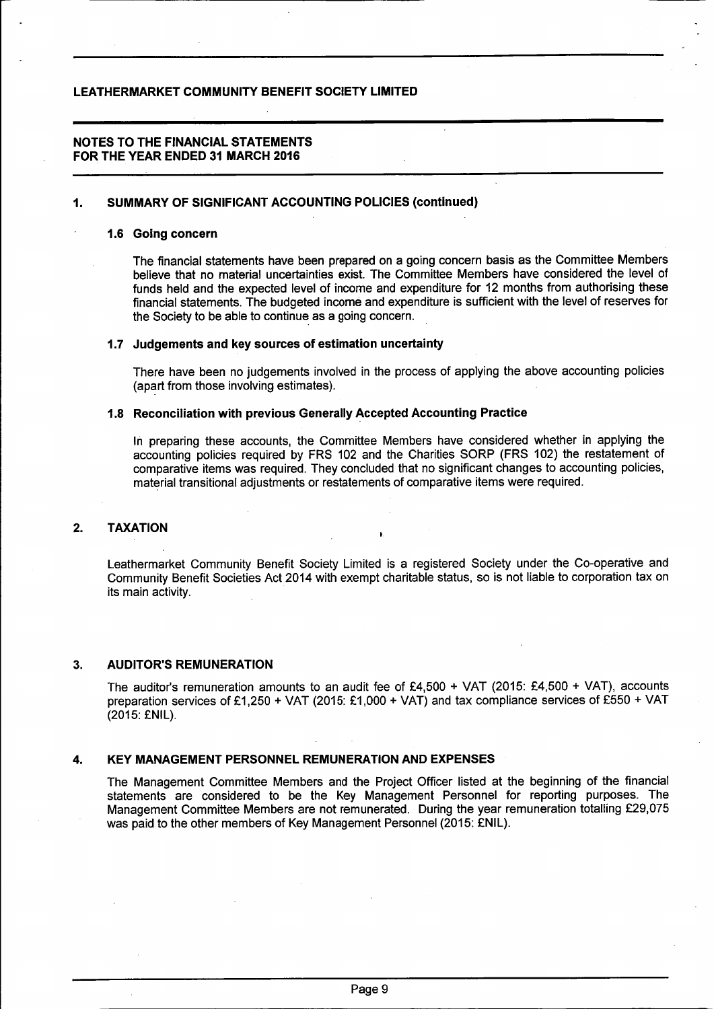## **NOTES TO THE FINANCIAL STATEMENTS FOR THE YEAR ENDED 31 MARCH 2016**

#### **SUMMARY OF SIGNIFICANT ACCOUNTING POLICIES (continued)**  1.

#### **1.6 Going concern**

The financial statements have been prepared on a going concern basis as the Committee Members believe that no material uncertainties exist. The Committee Members have considered the level of funds held and the expected level of income and expenditure for 12 months from authorising these financial statements. The budgeted income and expenditure is sufficient with the level of reserves for the Society to be able to continue as a going concern.

#### **1.7 Judgements and key sources of estimation uncertainty**

There have been no judgements involved in the process of applying the above accounting policies (apart from those involving estimates).

#### **1.8 Reconciliation with previous Generally Accepted Accounting Practice**

In preparing these accounts, the Committee Members have considered whether in applying the accounting policies required by FRS 102 and the Charities SORP (FRS 102) the restatement of comparative items was required. They concluded that no significant changes to accounting policies, material transitional adjustments or restatements of comparative items were required.

#### $2.$ **TAXATION**

Leathermarket Community Benefit Society Limited is a registered Society under the Co-operative and Community Benefit Societies Act 2014 with exempt charitable status, so is not liable to corporation tax on its main activity.

#### **AUDITOR'S REMUNERATION**   $3.$

The auditor's remuneration amounts to an audit fee of £4,500 + VAT (2015: £4,500 + VAT), accounts preparation services of £1,250 + VAT (2015: £1,000 + VAT) and tax compliance services of £550 + VAT (2015: £NIL).

#### **KEY MANAGEMENT PERSONNEL REMUNERATION AND EXPENSES**   $\mathbf{4}$

The Management Committee Members and the Project Officer listed at the beginning of the financial statements are considered to be the Key Management Personnel for reporting purposes. The Management Committee Members are not remunerated. During the year remuneration totalling £29,075 was paid to the other members of Key Management Personnel (2015: £NlL).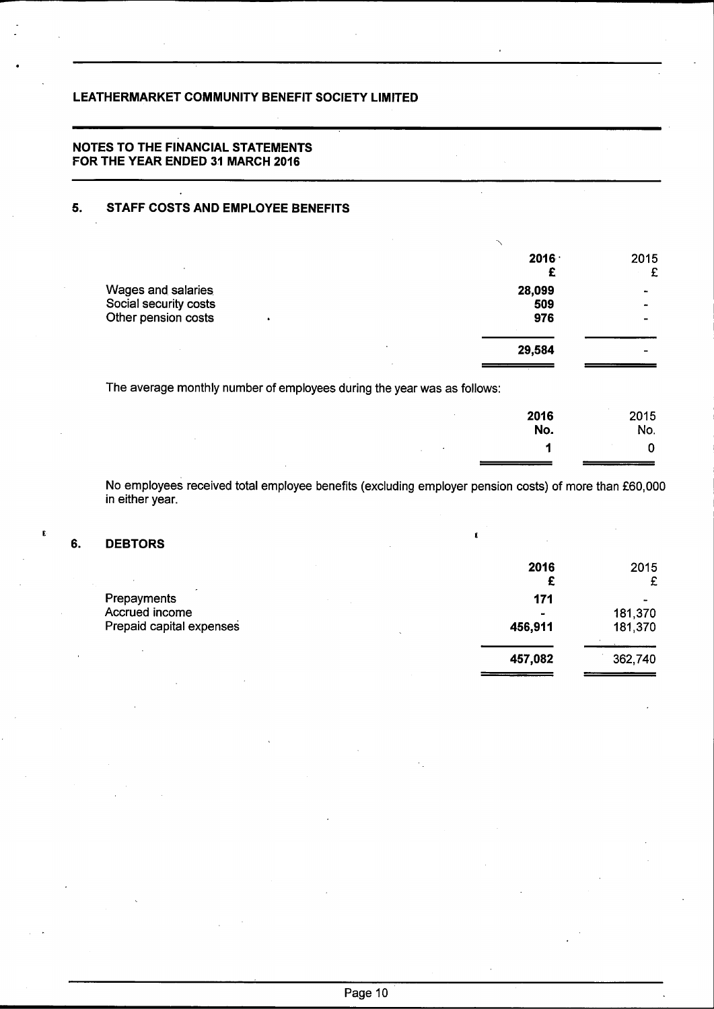# **NOTES TO THE FINANCIAL STATEMENTS FOR THE YEAR ENDED 31 MARCH 2016**

# **5. STAFF COSTS AND EMPLOYEE BENEFITS**

|                                                                    | 2016.                | 2015<br>£ |
|--------------------------------------------------------------------|----------------------|-----------|
| Wages and salaries<br>Social security costs<br>Other pension costs | 28,099<br>509<br>976 |           |
|                                                                    | 29,584               |           |

The average monthly number of employees during the year was as follows:

|  |  | 2016<br>No. | 2015<br>No. |
|--|--|-------------|-------------|
|  |  |             | 0           |
|  |  |             |             |

No employees received total employee benefits (excluding employer pension costs) of more than £60,000 in either year.

#### **6. DEBTORS L £**

|                          | 2016<br>Ł                       | 2015<br>£ |
|--------------------------|---------------------------------|-----------|
| Prepayments              | 171                             |           |
| Accrued income           | ٠                               | 181,370   |
| Prepaid capital expenses | 456,911<br>$\ddot{\phantom{1}}$ | 181,370   |
|                          | 457,082                         | 362,740   |
|                          |                                 |           |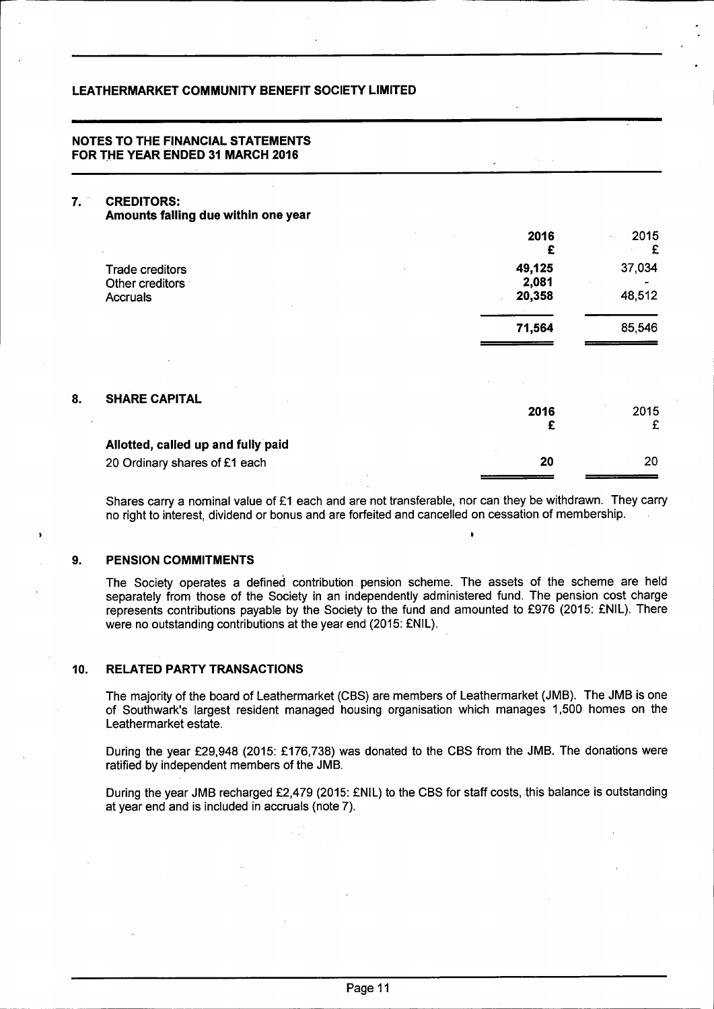### **NOTES TO THE FINANCIAL STATEMENTS FOR THE YEAR ENDED 31 MARCH 2016**

# **7. CREDITORS:**

8.

**Amounts falling due within one year** 

|                                    | 2016<br>£       | 2015<br>٠<br>£ |
|------------------------------------|-----------------|----------------|
| <b>Trade creditors</b>             | 49,125<br>2,081 | 37,034         |
| Other creditors<br>Accruals        | 20,358          | 48,512         |
|                                    | 71,564          | 85,546         |
|                                    |                 |                |
| <b>SHARE CAPITAL</b>               | 2016            | 2015<br>£      |
| Allotted, called up and fully paid | £               |                |

20 Ordinary shares of £1 each **20 20** 

Shares carry a nominal value of £1 each and are not transferable, nor can they be withdrawn. They carry no right to interest, dividend or bonus and are forfeited and cancelled on cessation of membership.

#### 9. **PENSION COMMITMENTS**

The Society operates a defined contribution pension scheme. The assets of the scheme are held separately from those of the Society in an independently administered fund. The pension cost charge represents contributions payable by the Society to the fund and amounted to £976 (2015: £NIL). There were no outstanding contributions at the year end (2015: £NlL).

#### **RELATED PARTY TRANSACTIONS**  10.

The majority of the board of Leathermarket (CBS) are members of Leathermarket (JMB). The JMB is one of Southwark's largest resident managed housing organisation which manages 1,500 homes on the Leathermarket estate.

During the year £29,948 (2015: £176,738) was donated to the CBS from the JMB. The donations were ratified by independent members of the JMB.

During the year JMB recharged £2,479 (2015: £NlL) to the CBS for staff costs, this balance is outstanding at year end and is included in accruals (note 7).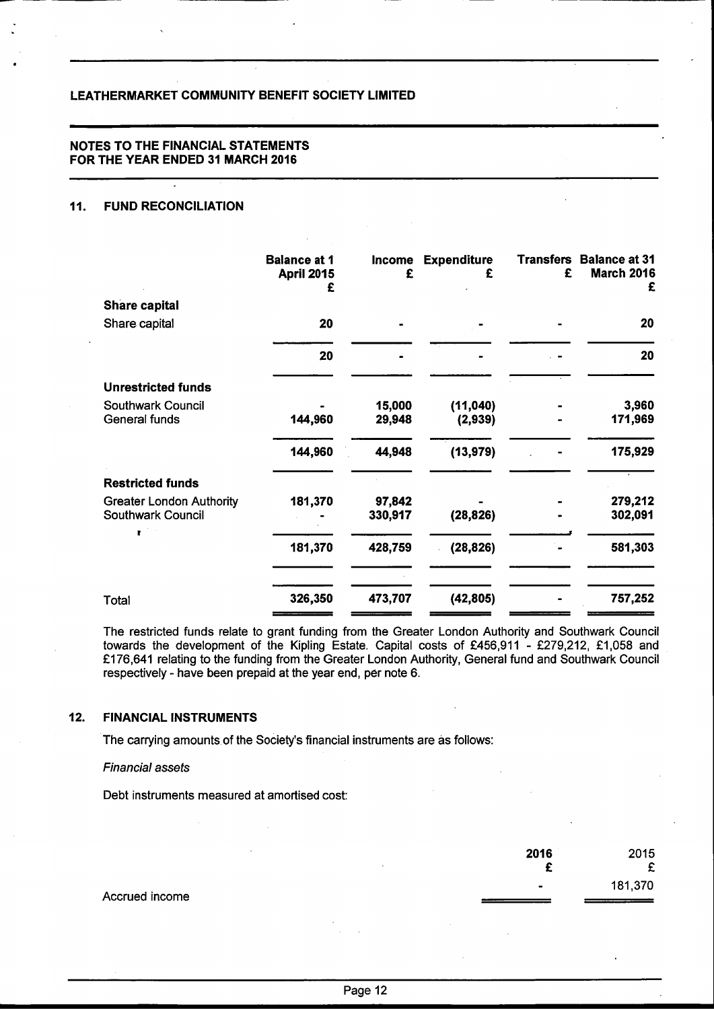## **NOTES TO THE FINANCIAL STATEMENTS FOR THE YEAR ENDED 31 MARCH 2016**

### **11. FUND RECONCILIATION**

|                                 | <b>Balance at 1</b><br><b>April 2015</b><br>£ | <b>Income</b><br>£ | <b>Expenditure</b><br>£ | £ | <b>Transfers Balance at 31</b><br><b>March 2016</b><br>£ |
|---------------------------------|-----------------------------------------------|--------------------|-------------------------|---|----------------------------------------------------------|
| Share capital                   |                                               |                    |                         |   |                                                          |
| Share capital                   | 20                                            |                    |                         |   | 20                                                       |
|                                 | 20                                            |                    |                         |   | 20                                                       |
| <b>Unrestricted funds</b>       |                                               |                    |                         |   |                                                          |
| <b>Southwark Council</b>        |                                               | 15,000             | (11, 040)               |   | 3,960                                                    |
| General funds                   | 144,960                                       | 29,948             | (2,939)                 |   | 171,969                                                  |
|                                 | 144,960                                       | 44,948             | (13, 979)               |   | 175,929                                                  |
| <b>Restricted funds</b>         |                                               |                    |                         |   |                                                          |
| <b>Greater London Authority</b> | 181,370                                       | 97,842             |                         |   | 279,212                                                  |
| Southwark Council               |                                               | 330,917            | (28, 826)               |   | 302,091                                                  |
|                                 | 181,370                                       | 428,759            | (28, 826)               |   | 581,303                                                  |
| Total                           | 326,350                                       | 473,707            | (42, 805)               |   | 757,252                                                  |

The restricted funds relate to grant funding from the Greater London Authority and Southwark Council towards the development of the Kipling Estate. Capital costs of £456,911 - £279,212, £1,058 and £176,641 relating to the funding from the Greater London Authority, General fund and Southwark Council respectively - have been prepaid at the year end, per note 6.

#### **12. FINANCIAL INSTRUMENTS**

The carrying amounts of the Society's financial instruments are as follows:

#### Financial assets

Debt instruments measured at amortised cost:

|       |  | $\cdot$ | 2016<br>c<br>۰. | 2015<br>£ |
|-------|--|---------|-----------------|-----------|
|       |  |         | $\blacksquare$  | 181,370   |
| ncome |  |         |                 |           |

**Accrued in**